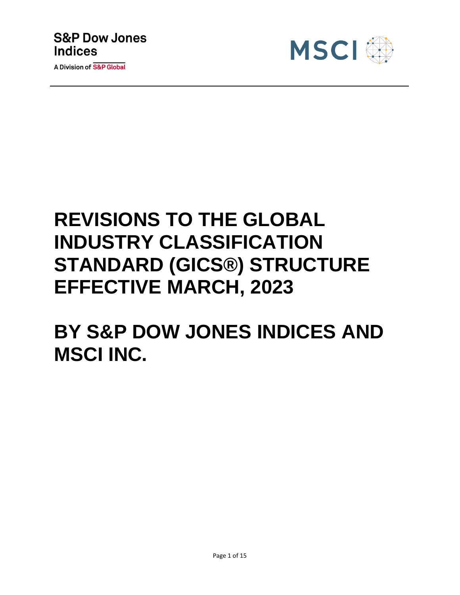



# **REVISIONS TO THE GLOBAL INDUSTRY CLASSIFICATION STANDARD (GICS®) STRUCTURE EFFECTIVE MARCH, 2023**

**BY S&P DOW JONES INDICES AND MSCI INC.**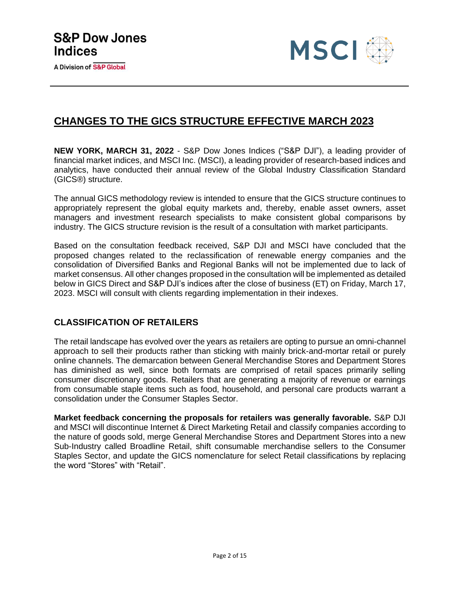

### **CHANGES TO THE GICS STRUCTURE EFFECTIVE MARCH 2023**

**NEW YORK, MARCH 31, 2022** - S&P Dow Jones Indices ("S&P DJI"), a leading provider of financial market indices, and MSCI Inc. (MSCI), a leading provider of research-based indices and analytics, have conducted their annual review of the Global Industry Classification Standard (GICS®) structure.

The annual GICS methodology review is intended to ensure that the GICS structure continues to appropriately represent the global equity markets and, thereby, enable asset owners, asset managers and investment research specialists to make consistent global comparisons by industry. The GICS structure revision is the result of a consultation with market participants.

Based on the consultation feedback received, S&P DJI and MSCI have concluded that the proposed changes related to the reclassification of renewable energy companies and the consolidation of Diversified Banks and Regional Banks will not be implemented due to lack of market consensus. All other changes proposed in the consultation will be implemented as detailed below in GICS Direct and S&P DJI's indices after the close of business (ET) on Friday, March 17, 2023. MSCI will consult with clients regarding implementation in their indexes.

### **CLASSIFICATION OF RETAILERS**

The retail landscape has evolved over the years as retailers are opting to pursue an omni-channel approach to sell their products rather than sticking with mainly brick-and-mortar retail or purely online channels. The demarcation between General Merchandise Stores and Department Stores has diminished as well, since both formats are comprised of retail spaces primarily selling consumer discretionary goods. Retailers that are generating a majority of revenue or earnings from consumable staple items such as food, household, and personal care products warrant a consolidation under the Consumer Staples Sector.

**Market feedback concerning the proposals for retailers was generally favorable.** S&P DJI and MSCI will discontinue Internet & Direct Marketing Retail and classify companies according to the nature of goods sold, merge General Merchandise Stores and Department Stores into a new Sub-Industry called Broadline Retail, shift consumable merchandise sellers to the Consumer Staples Sector, and update the GICS nomenclature for select Retail classifications by replacing the word "Stores" with "Retail".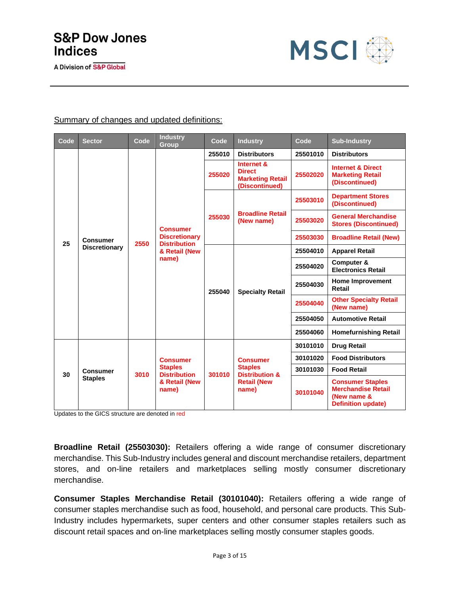

#### Summary of changes and updated definitions:

| Code | <b>Sector</b>        | Code | <b>Industry</b><br>Group                                                                 | Code   | <b>Industry</b>                                                          | Code     | <b>Sub-Industry</b>                                                                              |
|------|----------------------|------|------------------------------------------------------------------------------------------|--------|--------------------------------------------------------------------------|----------|--------------------------------------------------------------------------------------------------|
|      |                      |      |                                                                                          | 255010 | <b>Distributors</b>                                                      | 25501010 | <b>Distributors</b>                                                                              |
|      |                      |      |                                                                                          | 255020 | Internet &<br><b>Direct</b><br><b>Marketing Retail</b><br>(Discontinued) | 25502020 | <b>Internet &amp; Direct</b><br><b>Marketing Retail</b><br>(Discontinued)                        |
|      |                      |      |                                                                                          |        |                                                                          | 25503010 | <b>Department Stores</b><br>(Discontinued)                                                       |
|      |                      |      | <b>Consumer</b><br><b>Discretionary</b><br><b>Distribution</b><br>& Retail (New<br>name) | 255030 | <b>Broadline Retail</b><br>(New name)                                    | 25503020 | <b>General Merchandise</b><br><b>Stores (Discontinued)</b>                                       |
| 25   | Consumer             | 2550 |                                                                                          |        |                                                                          | 25503030 | <b>Broadline Retail (New)</b>                                                                    |
|      | <b>Discretionary</b> |      |                                                                                          |        | <b>Specialty Retail</b>                                                  | 25504010 | <b>Apparel Retail</b>                                                                            |
|      |                      |      |                                                                                          | 255040 |                                                                          | 25504020 | Computer &<br><b>Electronics Retail</b>                                                          |
|      |                      |      |                                                                                          |        |                                                                          | 25504030 | <b>Home Improvement</b><br>Retail                                                                |
|      |                      |      |                                                                                          |        |                                                                          | 25504040 | <b>Other Specialty Retail</b><br>(New name)                                                      |
|      |                      |      |                                                                                          |        |                                                                          | 25504050 | <b>Automotive Retail</b>                                                                         |
|      |                      |      |                                                                                          |        |                                                                          | 25504060 | <b>Homefurnishing Retail</b>                                                                     |
|      |                      |      |                                                                                          |        |                                                                          | 30101010 | <b>Drug Retail</b>                                                                               |
|      |                      |      | <b>Consumer</b>                                                                          |        | <b>Consumer</b>                                                          | 30101020 | <b>Food Distributors</b>                                                                         |
| 30   | <b>Consumer</b>      | 3010 | <b>Staples</b><br><b>Distribution</b>                                                    | 301010 | <b>Staples</b><br><b>Distribution &amp;</b>                              | 30101030 | <b>Food Retail</b>                                                                               |
|      | <b>Staples</b>       |      | & Retail (New<br>name)                                                                   |        | <b>Retail (New</b><br>name)                                              | 30101040 | <b>Consumer Staples</b><br><b>Merchandise Retail</b><br>(New name &<br><b>Definition update)</b> |

Updates to the GICS structure are denoted in red

**Broadline Retail (25503030):** Retailers offering a wide range of consumer discretionary merchandise. This Sub-Industry includes general and discount merchandise retailers, department stores, and on-line retailers and marketplaces selling mostly consumer discretionary merchandise.

**Consumer Staples Merchandise Retail (30101040):** Retailers offering a wide range of consumer staples merchandise such as food, household, and personal care products. This Sub-Industry includes hypermarkets, super centers and other consumer staples retailers such as discount retail spaces and on-line marketplaces selling mostly consumer staples goods.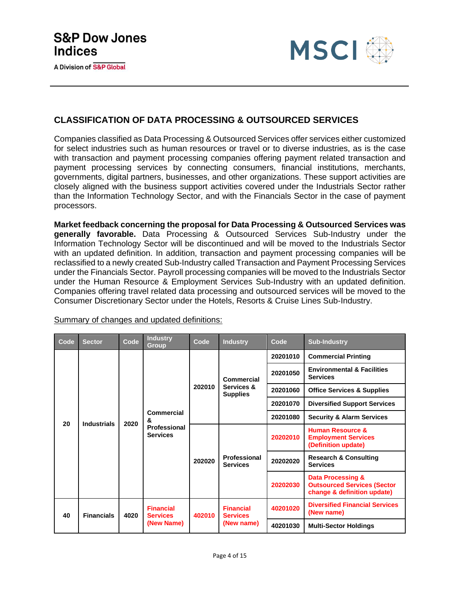

### **CLASSIFICATION OF DATA PROCESSING & OUTSOURCED SERVICES**

Companies classified as Data Processing & Outsourced Services offer services either customized for select industries such as human resources or travel or to diverse industries, as is the case with transaction and payment processing companies offering payment related transaction and payment processing services by connecting consumers, financial institutions, merchants, governments, digital partners, businesses, and other organizations. These support activities are closely aligned with the business support activities covered under the Industrials Sector rather than the Information Technology Sector, and with the Financials Sector in the case of payment processors.

**Market feedback concerning the proposal for Data Processing & Outsourced Services was generally favorable.** Data Processing & Outsourced Services Sub-Industry under the Information Technology Sector will be discontinued and will be moved to the Industrials Sector with an updated definition. In addition, transaction and payment processing companies will be reclassified to a newly created Sub-Industry called Transaction and Payment Processing Services under the Financials Sector. Payroll processing companies will be moved to the Industrials Sector under the Human Resource & Employment Services Sub-Industry with an updated definition. Companies offering travel related data processing and outsourced services will be moved to the Consumer Discretionary Sector under the Hotels, Resorts & Cruise Lines Sub-Industry.

| Code | <b>Sector</b>      | Code       | <b>Industry</b><br><b>Group</b>                    | Code       | <b>Industry</b>                     | Code                         | <b>Sub-Industry</b>                                                                               |
|------|--------------------|------------|----------------------------------------------------|------------|-------------------------------------|------------------------------|---------------------------------------------------------------------------------------------------|
|      |                    |            |                                                    |            |                                     | 20201010                     | <b>Commercial Printing</b>                                                                        |
|      |                    |            | Commercial<br>&<br>Professional<br><b>Services</b> |            | Commercial                          | 20201050                     | <b>Environmental &amp; Facilities</b><br><b>Services</b>                                          |
|      |                    |            |                                                    | 202010     | Services &<br><b>Supplies</b>       | 20201060                     | <b>Office Services &amp; Supplies</b>                                                             |
|      |                    |            |                                                    |            |                                     | 20201070                     | <b>Diversified Support Services</b>                                                               |
| 20   | <b>Industrials</b> | 2020       |                                                    |            |                                     | 20201080                     | <b>Security &amp; Alarm Services</b>                                                              |
|      |                    |            |                                                    | 202020     | Professional<br><b>Services</b>     | 20202010                     | <b>Human Resource &amp;</b><br><b>Employment Services</b><br>(Definition update)                  |
|      |                    |            |                                                    |            |                                     | 20202020                     | <b>Research &amp; Consulting</b><br><b>Services</b>                                               |
|      |                    |            |                                                    |            |                                     | 20202030                     | <b>Data Processing &amp;</b><br><b>Outsourced Services (Sector</b><br>change & definition update) |
| 40   | <b>Financials</b>  | 4020       | <b>Financial</b><br><b>Services</b>                | 402010     | <b>Financial</b><br><b>Services</b> | 40201020                     | <b>Diversified Financial Services</b><br>(New name)                                               |
|      |                    | (New Name) |                                                    | (New name) | 40201030                            | <b>Multi-Sector Holdings</b> |                                                                                                   |

Summary of changes and updated definitions: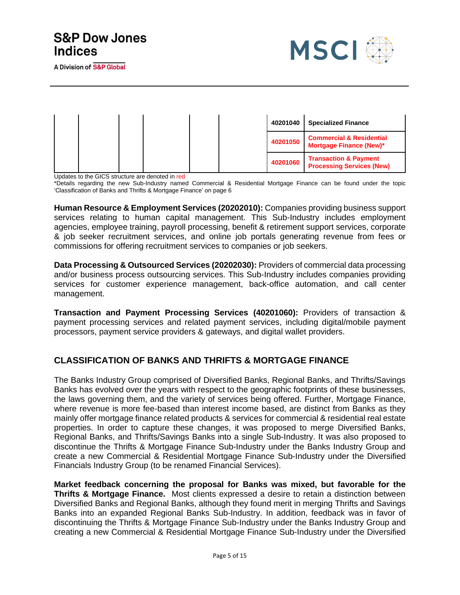A Division of S&P Global



|  |  |  | 40201040 | <b>Specialized Finance</b>                                            |
|--|--|--|----------|-----------------------------------------------------------------------|
|  |  |  | 40201050 | <b>Commercial &amp; Residential</b><br><b>Mortgage Finance (New)*</b> |
|  |  |  | 40201060 | <b>Transaction &amp; Payment</b><br><b>Processing Services (New)</b>  |

Updates to the GICS structure are denoted in red

\*Details regarding the new Sub-Industry named Commercial & Residential Mortgage Finance can be found under the topic 'Classification of Banks and Thrifts & Mortgage Finance' on page 6

**Human Resource & Employment Services (20202010):** Companies providing business support services relating to human capital management. This Sub-Industry includes employment agencies, employee training, payroll processing, benefit & retirement support services, corporate & job seeker recruitment services, and online job portals generating revenue from fees or commissions for offering recruitment services to companies or job seekers.

**Data Processing & Outsourced Services (20202030):** Providers of commercial data processing and/or business process outsourcing services. This Sub-Industry includes companies providing services for customer experience management, back-office automation, and call center management.

**Transaction and Payment Processing Services (40201060):** Providers of transaction & payment processing services and related payment services, including digital/mobile payment processors, payment service providers & gateways, and digital wallet providers.

### **CLASSIFICATION OF BANKS AND THRIFTS & MORTGAGE FINANCE**

The Banks Industry Group comprised of Diversified Banks, Regional Banks, and Thrifts/Savings Banks has evolved over the years with respect to the geographic footprints of these businesses, the laws governing them, and the variety of services being offered. Further, Mortgage Finance, where revenue is more fee-based than interest income based, are distinct from Banks as they mainly offer mortgage finance related products & services for commercial & residential real estate properties. In order to capture these changes, it was proposed to merge Diversified Banks, Regional Banks, and Thrifts/Savings Banks into a single Sub-Industry. It was also proposed to discontinue the Thrifts & Mortgage Finance Sub-Industry under the Banks Industry Group and create a new Commercial & Residential Mortgage Finance Sub-Industry under the Diversified Financials Industry Group (to be renamed Financial Services).

**Market feedback concerning the proposal for Banks was mixed, but favorable for the Thrifts & Mortgage Finance.** Most clients expressed a desire to retain a distinction between Diversified Banks and Regional Banks, although they found merit in merging Thrifts and Savings Banks into an expanded Regional Banks Sub-Industry. In addition, feedback was in favor of discontinuing the Thrifts & Mortgage Finance Sub-Industry under the Banks Industry Group and creating a new Commercial & Residential Mortgage Finance Sub-Industry under the Diversified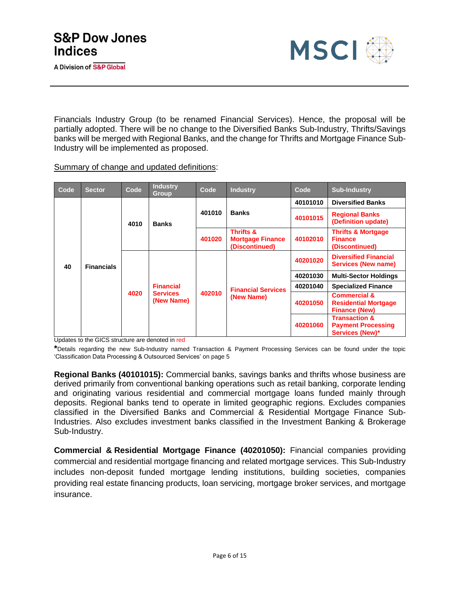

Financials Industry Group (to be renamed Financial Services). Hence, the proposal will be partially adopted. There will be no change to the Diversified Banks Sub-Industry, Thrifts/Savings banks will be merged with Regional Banks, and the change for Thrifts and Mortgage Finance Sub-Industry will be implemented as proposed.

Summary of change and updated definitions:

| Code | Sector            | Code | <b>Industry</b><br><b>Group</b>                   | Code   | <b>Industry</b>                                                   | Code     | <b>Sub-Industry</b>                                                            |
|------|-------------------|------|---------------------------------------------------|--------|-------------------------------------------------------------------|----------|--------------------------------------------------------------------------------|
|      |                   |      |                                                   |        |                                                                   | 40101010 | <b>Diversified Banks</b>                                                       |
| 40   | <b>Financials</b> | 4010 | <b>Banks</b>                                      | 401010 | <b>Banks</b>                                                      | 40101015 | <b>Regional Banks</b><br>(Definition update)                                   |
|      |                   |      |                                                   | 401020 | <b>Thrifts &amp;</b><br><b>Mortgage Finance</b><br>(Discontinued) | 40102010 | <b>Thrifts &amp; Mortgage</b><br><b>Finance</b><br>(Discontinued)              |
|      |                   | 4020 | <b>Financial</b><br><b>Services</b><br>(New Name) | 402010 | <b>Financial Services</b><br>(New Name)                           | 40201020 | <b>Diversified Financial</b><br><b>Services (New name)</b>                     |
|      |                   |      |                                                   |        |                                                                   | 40201030 | <b>Multi-Sector Holdings</b>                                                   |
|      |                   |      |                                                   |        |                                                                   | 40201040 | <b>Specialized Finance</b>                                                     |
|      |                   |      |                                                   |        |                                                                   | 40201050 | <b>Commercial &amp;</b><br><b>Residential Mortgage</b><br><b>Finance (New)</b> |
|      |                   |      |                                                   |        |                                                                   | 40201060 | <b>Transaction &amp;</b><br><b>Payment Processing</b><br>Services (New)*       |

Updates to the GICS structure are denoted in red

**\***Details regarding the new Sub-Industry named Transaction & Payment Processing Services can be found under the topic 'Classification Data Processing & Outsourced Services' on page 5

**Regional Banks (40101015):** Commercial banks, savings banks and thrifts whose business are derived primarily from conventional banking operations such as retail banking, corporate lending and originating various residential and commercial mortgage loans funded mainly through deposits. Regional banks tend to operate in limited geographic regions. Excludes companies classified in the Diversified Banks and Commercial & Residential Mortgage Finance Sub-Industries. Also excludes investment banks classified in the Investment Banking & Brokerage Sub-Industry.

**Commercial & Residential Mortgage Finance (40201050):** Financial companies providing commercial and residential mortgage financing and related mortgage services. This Sub-Industry includes non-deposit funded mortgage lending institutions, building societies, companies providing real estate financing products, loan servicing, mortgage broker services, and mortgage insurance.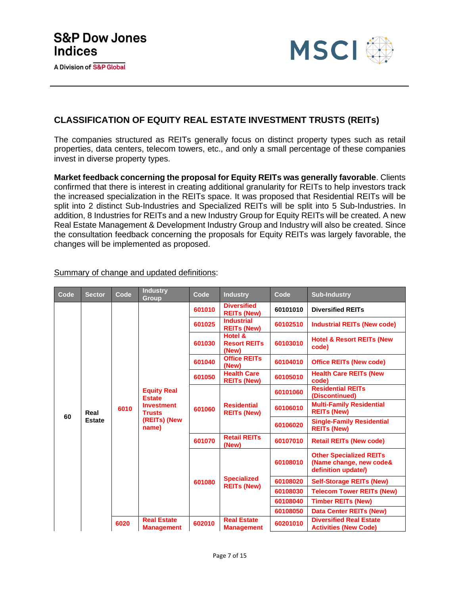

### **CLASSIFICATION OF EQUITY REAL ESTATE INVESTMENT TRUSTS (REITs)**

The companies structured as REITs generally focus on distinct property types such as retail properties, data centers, telecom towers, etc., and only a small percentage of these companies invest in diverse property types.

**Market feedback concerning the proposal for Equity REITs was generally favorable**. Clients confirmed that there is interest in creating additional granularity for REITs to help investors track the increased specialization in the REITs space. It was proposed that Residential REITs will be split into 2 distinct Sub-Industries and Specialized REITs will be split into 5 Sub-Industries. In addition, 8 Industries for REITs and a new Industry Group for Equity REITs will be created. A new Real Estate Management & Development Industry Group and Industry will also be created. Since the consultation feedback concerning the proposals for Equity REITs was largely favorable, the changes will be implemented as proposed.

| Code | <b>Sector</b>         | Code | <b>Industry</b><br><b>Group</b>                                                                    | Code   | <b>Industry</b>                          | Code     | <b>Sub-Industry</b>                                                              |
|------|-----------------------|------|----------------------------------------------------------------------------------------------------|--------|------------------------------------------|----------|----------------------------------------------------------------------------------|
|      |                       |      |                                                                                                    | 601010 | <b>Diversified</b><br><b>REITs (New)</b> | 60101010 | <b>Diversified REITs</b>                                                         |
|      |                       |      |                                                                                                    | 601025 | <b>Industrial</b><br><b>REITs (New)</b>  | 60102510 | <b>Industrial REITs (New code)</b>                                               |
|      |                       |      |                                                                                                    | 601030 | Hotel &<br><b>Resort REITs</b><br>(New)  | 60103010 | <b>Hotel &amp; Resort REITs (New</b><br>code)                                    |
|      |                       |      | <b>Equity Real</b><br><b>Estate</b><br><b>Investment</b><br><b>Trusts</b><br>(REITs) (New<br>name) | 601040 | <b>Office REITs</b><br>(New)             | 60104010 | <b>Office REITs (New code)</b>                                                   |
|      |                       | 6010 |                                                                                                    | 601050 | <b>Health Care</b><br><b>REITs (New)</b> | 60105010 | <b>Health Care REITs (New</b><br>code)                                           |
|      | Real<br><b>Estate</b> |      |                                                                                                    |        | <b>Residential</b><br><b>REITs (New)</b> | 60101060 | <b>Residential REITs</b><br>(Discontinued)                                       |
| 60   |                       |      |                                                                                                    | 601060 |                                          | 60106010 | <b>Multi-Family Residential</b><br><b>REITs (New)</b>                            |
|      |                       |      |                                                                                                    |        |                                          | 60106020 | <b>Single-Family Residential</b><br><b>REITs (New)</b>                           |
|      |                       |      |                                                                                                    | 601070 | <b>Retail REITs</b><br>(New)             | 60107010 | <b>Retail REITs (New code)</b>                                                   |
|      |                       |      |                                                                                                    |        |                                          | 60108010 | <b>Other Specialized REITs</b><br>(Name change, new code&<br>definition update/) |
|      |                       |      |                                                                                                    | 601080 | <b>Specialized</b><br><b>REITs (New)</b> | 60108020 | <b>Self-Storage REITs (New)</b>                                                  |
|      |                       |      |                                                                                                    |        |                                          | 60108030 | <b>Telecom Tower REITs (New)</b>                                                 |
|      |                       |      |                                                                                                    |        |                                          | 60108040 | <b>Timber REITs (New)</b>                                                        |
|      |                       |      |                                                                                                    |        |                                          | 60108050 | <b>Data Center REITs (New)</b>                                                   |
|      |                       | 6020 | <b>Real Estate</b><br><b>Management</b>                                                            | 602010 | <b>Real Estate</b><br><b>Management</b>  | 60201010 | <b>Diversified Real Estate</b><br><b>Activities (New Code)</b>                   |

Summary of change and updated definitions: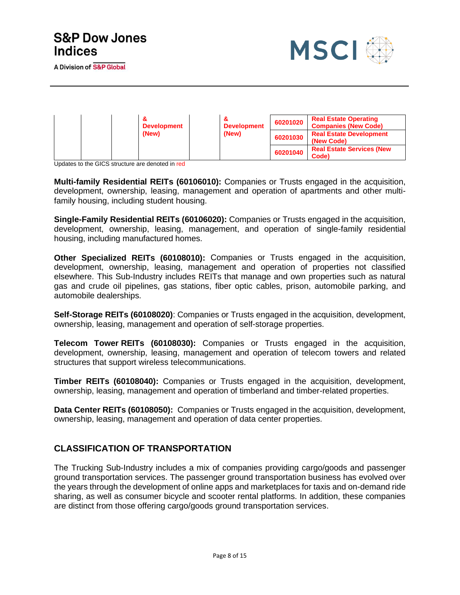A Division of S&P Global



|  | <b>Development</b> | 8<br><b>Development</b> | 60201020 | <b>Real Estate Operating</b><br><b>Companies (New Code)</b> |
|--|--------------------|-------------------------|----------|-------------------------------------------------------------|
|  | (New)              | (New)                   | 60201030 | <b>Real Estate Development</b><br>(New Code)                |
|  |                    |                         | 60201040 | <b>Real Estate Services (New</b><br>Code)                   |

Updates to the GICS structure are denoted in red

**Multi-family Residential REITs (60106010):** Companies or Trusts engaged in the acquisition, development, ownership, leasing, management and operation of apartments and other multifamily housing, including student housing.

**Single-Family Residential REITs (60106020):** Companies or Trusts engaged in the acquisition, development, ownership, leasing, management, and operation of single-family residential housing, including manufactured homes.

**Other Specialized REITs (60108010):** Companies or Trusts engaged in the acquisition, development, ownership, leasing, management and operation of properties not classified elsewhere. This Sub-Industry includes REITs that manage and own properties such as natural gas and crude oil pipelines, gas stations, fiber optic cables, prison, automobile parking, and automobile dealerships.

**Self-Storage REITs (60108020)**: Companies or Trusts engaged in the acquisition, development, ownership, leasing, management and operation of self-storage properties.

**Telecom Tower REITs (60108030):** Companies or Trusts engaged in the acquisition, development, ownership, leasing, management and operation of telecom towers and related structures that support wireless telecommunications.

**Timber REITs (60108040):** Companies or Trusts engaged in the acquisition, development, ownership, leasing, management and operation of timberland and timber-related properties.

**Data Center REITs (60108050):** Companies or Trusts engaged in the acquisition, development, ownership, leasing, management and operation of data center properties.

### **CLASSIFICATION OF TRANSPORTATION**

The Trucking Sub-Industry includes a mix of companies providing cargo/goods and passenger ground transportation services. The passenger ground transportation business has evolved over the years through the development of online apps and marketplaces for taxis and on-demand ride sharing, as well as consumer bicycle and scooter rental platforms. In addition, these companies are distinct from those offering cargo/goods ground transportation services.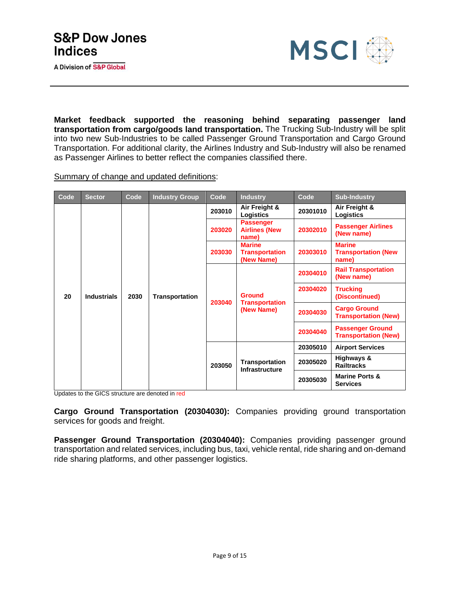

**Market feedback supported the reasoning behind separating passenger land transportation from cargo/goods land transportation.** The Trucking Sub-Industry will be split into two new Sub-Industries to be called Passenger Ground Transportation and Cargo Ground Transportation. For additional clarity, the Airlines Industry and Sub-Industry will also be renamed as Passenger Airlines to better reflect the companies classified there.

Summary of change and updated definitions:

| Code | <b>Sector</b>      | Code | <b>Industry Group</b> | Code   | <b>Industry</b>                                      | Code                                              | <b>Sub-Industry</b>                                    |                                         |
|------|--------------------|------|-----------------------|--------|------------------------------------------------------|---------------------------------------------------|--------------------------------------------------------|-----------------------------------------|
|      |                    |      | <b>Transportation</b> | 203010 | Air Freight &<br>Logistics                           | 20301010                                          | Air Freight &<br>Logistics                             |                                         |
|      |                    | 2030 |                       |        | 203020                                               | <b>Passenger</b><br><b>Airlines (New</b><br>name) | 20302010                                               | <b>Passenger Airlines</b><br>(New name) |
|      |                    |      |                       | 203030 | <b>Marine</b><br><b>Transportation</b><br>(New Name) | 20303010                                          | <b>Marine</b><br><b>Transportation (New</b><br>name)   |                                         |
|      |                    |      |                       | 203040 |                                                      | 20304010                                          | <b>Rail Transportation</b><br>(New name)               |                                         |
| 20   | <b>Industrials</b> |      |                       |        | <b>Ground</b><br><b>Transportation</b>               | 20304020                                          | <b>Trucking</b><br>(Discontinued)                      |                                         |
|      |                    |      |                       |        | (New Name)                                           | 20304030                                          | <b>Cargo Ground</b><br><b>Transportation (New)</b>     |                                         |
|      |                    |      |                       |        |                                                      | 20304040                                          | <b>Passenger Ground</b><br><b>Transportation (New)</b> |                                         |
|      |                    |      |                       |        |                                                      | 20305010                                          | <b>Airport Services</b>                                |                                         |
|      |                    |      |                       | 203050 | <b>Transportation</b><br><b>Infrastructure</b>       | 20305020                                          | Highways &<br><b>Railtracks</b>                        |                                         |
|      |                    |      |                       |        |                                                      | 20305030                                          | <b>Marine Ports &amp;</b><br><b>Services</b>           |                                         |

Updates to the GICS structure are denoted in red

**Cargo Ground Transportation (20304030):** Companies providing ground transportation services for goods and freight.

**Passenger Ground Transportation (20304040):** Companies providing passenger ground transportation and related services, including bus, taxi, vehicle rental, ride sharing and on-demand ride sharing platforms, and other passenger logistics.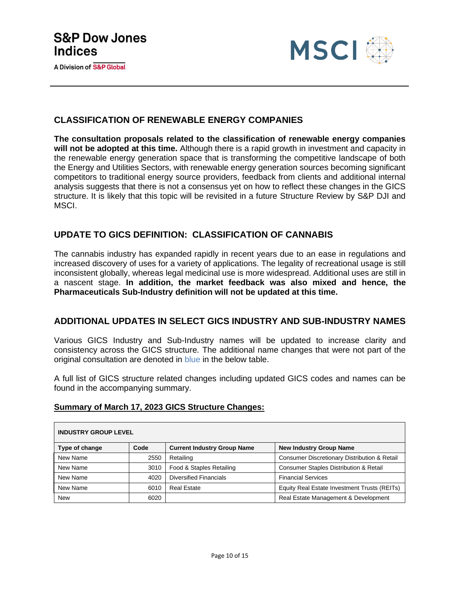



#### **CLASSIFICATION OF RENEWABLE ENERGY COMPANIES**

**The consultation proposals related to the classification of renewable energy companies will not be adopted at this time.** Although there is a rapid growth in investment and capacity in the renewable energy generation space that is transforming the competitive landscape of both the Energy and Utilities Sectors, with renewable energy generation sources becoming significant competitors to traditional energy source providers, feedback from clients and additional internal analysis suggests that there is not a consensus yet on how to reflect these changes in the GICS structure. It is likely that this topic will be revisited in a future Structure Review by S&P DJI and MSCI.

#### **UPDATE TO GICS DEFINITION: CLASSIFICATION OF CANNABIS**

The cannabis industry has expanded rapidly in recent years due to an ease in regulations and increased discovery of uses for a variety of applications. The legality of recreational usage is still inconsistent globally, whereas legal medicinal use is more widespread. Additional uses are still in a nascent stage. **In addition, the market feedback was also mixed and hence, the Pharmaceuticals Sub-Industry definition will not be updated at this time.**

#### **ADDITIONAL UPDATES IN SELECT GICS INDUSTRY AND SUB-INDUSTRY NAMES**

Various GICS Industry and Sub-Industry names will be updated to increase clarity and consistency across the GICS structure. The additional name changes that were not part of the original consultation are denoted in blue in the below table.

A full list of GICS structure related changes including updated GICS codes and names can be found in the accompanying summary.

#### **Summary of March 17, 2023 GICS Structure Changes:**

| <b>INDUSTRY GROUP LEVEL</b> |      |                                    |                                                   |  |  |  |  |
|-----------------------------|------|------------------------------------|---------------------------------------------------|--|--|--|--|
| Type of change              | Code | <b>Current Industry Group Name</b> | <b>New Industry Group Name</b>                    |  |  |  |  |
| New Name                    | 2550 | Retailing                          | Consumer Discretionary Distribution & Retail      |  |  |  |  |
| New Name                    | 3010 | Food & Staples Retailing           | <b>Consumer Staples Distribution &amp; Retail</b> |  |  |  |  |
| New Name                    | 4020 | <b>Diversified Financials</b>      | <b>Financial Services</b>                         |  |  |  |  |
| New Name                    | 6010 | <b>Real Estate</b>                 | Equity Real Estate Investment Trusts (REITs)      |  |  |  |  |
| <b>New</b>                  | 6020 |                                    | Real Estate Management & Development              |  |  |  |  |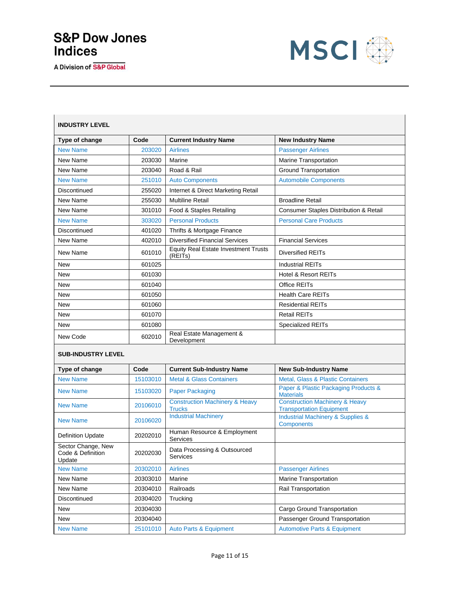A Division of S&P Global



| Type of change                                    | Code     | <b>Current Industry Name</b>                               | <b>New Industry Name</b>                                                     |
|---------------------------------------------------|----------|------------------------------------------------------------|------------------------------------------------------------------------------|
| <b>New Name</b>                                   | 203020   | <b>Airlines</b>                                            | <b>Passenger Airlines</b>                                                    |
| New Name                                          | 203030   | Marine                                                     | Marine Transportation                                                        |
| New Name                                          | 203040   | Road & Rail                                                | <b>Ground Transportation</b>                                                 |
| <b>New Name</b>                                   | 251010   | <b>Auto Components</b>                                     | <b>Automobile Components</b>                                                 |
| Discontinued                                      | 255020   | Internet & Direct Marketing Retail                         |                                                                              |
| New Name                                          | 255030   | <b>Multiline Retail</b>                                    | <b>Broadline Retail</b>                                                      |
| New Name                                          | 301010   | Food & Staples Retailing                                   | <b>Consumer Staples Distribution &amp; Retail</b>                            |
| <b>New Name</b>                                   | 303020   | <b>Personal Products</b>                                   | <b>Personal Care Products</b>                                                |
| Discontinued                                      | 401020   | Thrifts & Mortgage Finance                                 |                                                                              |
| New Name                                          | 402010   | <b>Diversified Financial Services</b>                      | <b>Financial Services</b>                                                    |
| New Name                                          | 601010   | <b>Equity Real Estate Investment Trusts</b><br>(REITs)     | <b>Diversified REITs</b>                                                     |
| <b>New</b>                                        | 601025   |                                                            | <b>Industrial REITs</b>                                                      |
| <b>New</b>                                        | 601030   |                                                            | <b>Hotel &amp; Resort REITs</b>                                              |
| <b>New</b>                                        | 601040   |                                                            | Office REITs                                                                 |
| New                                               | 601050   |                                                            | <b>Health Care REITs</b>                                                     |
| New                                               | 601060   |                                                            | <b>Residential REITs</b>                                                     |
| <b>New</b>                                        | 601070   |                                                            | <b>Retail REITs</b>                                                          |
| New                                               | 601080   |                                                            | <b>Specialized REITs</b>                                                     |
| New Code                                          | 602010   | Real Estate Management &<br>Development                    |                                                                              |
| <b>SUB-INDUSTRY LEVEL</b>                         |          |                                                            |                                                                              |
| Type of change                                    | Code     | <b>Current Sub-Industry Name</b>                           | <b>New Sub-Industry Name</b>                                                 |
| <b>New Name</b>                                   | 15103010 | <b>Metal &amp; Glass Containers</b>                        | <b>Metal, Glass &amp; Plastic Containers</b>                                 |
| <b>New Name</b>                                   | 15103020 | <b>Paper Packaging</b>                                     | Paper & Plastic Packaging Products &<br><b>Materials</b>                     |
| <b>New Name</b>                                   | 20106010 | <b>Construction Machinery &amp; Heavy</b><br><b>Trucks</b> | <b>Construction Machinery &amp; Heavy</b><br><b>Transportation Equipment</b> |
| <b>New Name</b>                                   | 20106020 | <b>Industrial Machinery</b>                                | <b>Industrial Machinery &amp; Supplies &amp;</b><br><b>Components</b>        |
| <b>Definition Update</b>                          | 20202010 | Human Resource & Employment<br>Services                    |                                                                              |
| Sector Change, New<br>Code & Definition<br>Update | 20202030 | Data Processing & Outsourced<br>Services                   |                                                                              |
| <b>New Name</b>                                   | 20302010 | <b>Airlines</b>                                            | <b>Passenger Airlines</b>                                                    |
| New Name                                          | 20303010 | Marine                                                     | <b>Marine Transportation</b>                                                 |
| New Name                                          | 20304010 | Railroads                                                  | Rail Transportation                                                          |
| Discontinued                                      | 20304020 | Trucking                                                   |                                                                              |
| New                                               | 20304030 |                                                            | Cargo Ground Transportation                                                  |
| New                                               | 20304040 |                                                            | Passenger Ground Transportation                                              |
| <b>New Name</b>                                   | 25101010 | <b>Auto Parts &amp; Equipment</b>                          | <b>Automotive Parts &amp; Equipment</b>                                      |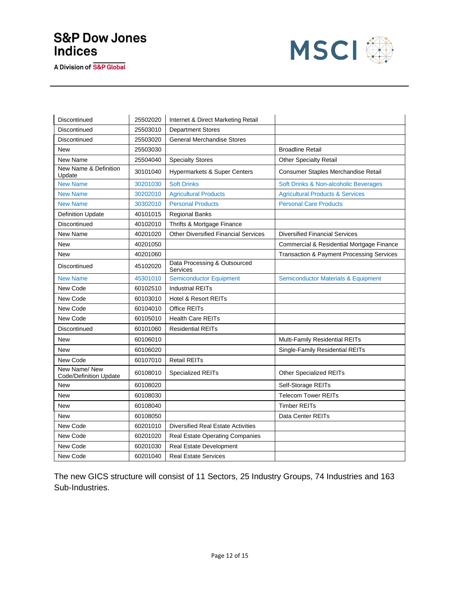A Division of S&P Global



| Discontinued                           | 25502020 | Internet & Direct Marketing Retail          |                                                |
|----------------------------------------|----------|---------------------------------------------|------------------------------------------------|
| Discontinued                           | 25503010 | <b>Department Stores</b>                    |                                                |
| Discontinued                           | 25503020 | <b>General Merchandise Stores</b>           |                                                |
| <b>New</b>                             | 25503030 |                                             | <b>Broadline Retail</b>                        |
| New Name                               | 25504040 | <b>Specialty Stores</b>                     | <b>Other Specialty Retail</b>                  |
| New Name & Definition<br>Update        | 30101040 | <b>Hypermarkets &amp; Super Centers</b>     | Consumer Staples Merchandise Retail            |
| <b>New Name</b>                        | 30201030 | <b>Soft Drinks</b>                          | Soft Drinks & Non-alcoholic Beverages          |
| <b>New Name</b>                        | 30202010 | <b>Agricultural Products</b>                | <b>Agricultural Products &amp; Services</b>    |
| <b>New Name</b>                        | 30302010 | <b>Personal Products</b>                    | <b>Personal Care Products</b>                  |
| <b>Definition Update</b>               | 40101015 | <b>Regional Banks</b>                       |                                                |
| Discontinued                           | 40102010 | Thrifts & Mortgage Finance                  |                                                |
| New Name                               | 40201020 | <b>Other Diversified Financial Services</b> | <b>Diversified Financial Services</b>          |
| <b>New</b>                             | 40201050 |                                             | Commercial & Residential Mortgage Finance      |
| <b>New</b>                             | 40201060 |                                             | Transaction & Payment Processing Services      |
| Discontinued                           | 45102020 | Data Processing & Outsourced<br>Services    |                                                |
| <b>New Name</b>                        | 45301010 | <b>Semiconductor Equipment</b>              | <b>Semiconductor Materials &amp; Equipment</b> |
| New Code                               | 60102510 | <b>Industrial REITs</b>                     |                                                |
| New Code                               | 60103010 | Hotel & Resort REITs                        |                                                |
| New Code                               | 60104010 | <b>Office REITs</b>                         |                                                |
| New Code                               | 60105010 | <b>Health Care REITs</b>                    |                                                |
| Discontinued                           | 60101060 | <b>Residential REITs</b>                    |                                                |
| New                                    | 60106010 |                                             | Multi-Family Residential REITs                 |
| <b>New</b>                             | 60106020 |                                             | Single-Family Residential REITs                |
| New Code                               | 60107010 | <b>Retail REITs</b>                         |                                                |
| New Name/New<br>Code/Definition Update | 60108010 | Specialized REITs                           | Other Specialized REITs                        |
| <b>New</b>                             | 60108020 |                                             | Self-Storage REITs                             |
| New                                    | 60108030 |                                             | <b>Telecom Tower REITs</b>                     |
| <b>New</b>                             | 60108040 |                                             | <b>Timber REITs</b>                            |
| <b>New</b>                             | 60108050 |                                             | Data Center REITs                              |
| New Code                               | 60201010 | <b>Diversified Real Estate Activities</b>   |                                                |
| New Code                               | 60201020 | <b>Real Estate Operating Companies</b>      |                                                |
| New Code                               | 60201030 | Real Estate Development                     |                                                |
| New Code                               | 60201040 | <b>Real Estate Services</b>                 |                                                |

The new GICS structure will consist of 11 Sectors, 25 Industry Groups, 74 Industries and 163 Sub-Industries.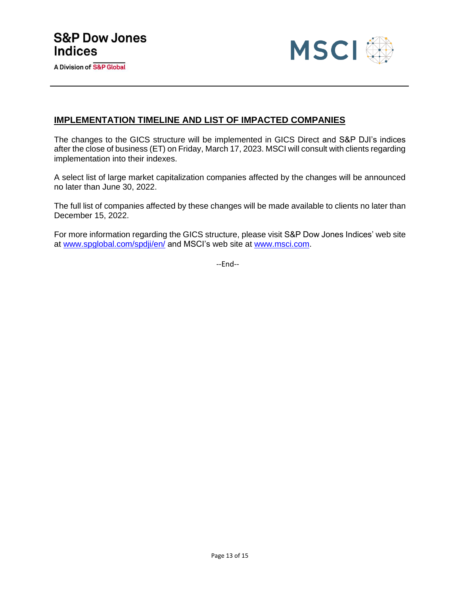

#### **IMPLEMENTATION TIMELINE AND LIST OF IMPACTED COMPANIES**

The changes to the GICS structure will be implemented in GICS Direct and S&P DJI's indices after the close of business (ET) on Friday, March 17, 2023. MSCI will consult with clients regarding implementation into their indexes.

A select list of large market capitalization companies affected by the changes will be announced no later than June 30, 2022.

The full list of companies affected by these changes will be made available to clients no later than December 15, 2022.

For more information regarding the GICS structure, please visit S&P Dow Jones Indices' web site at [www.spglobal.com/spdji/en/](https://www.spglobal.com/spdji/en/) and MSCI's web site at www.msci.com.

--End--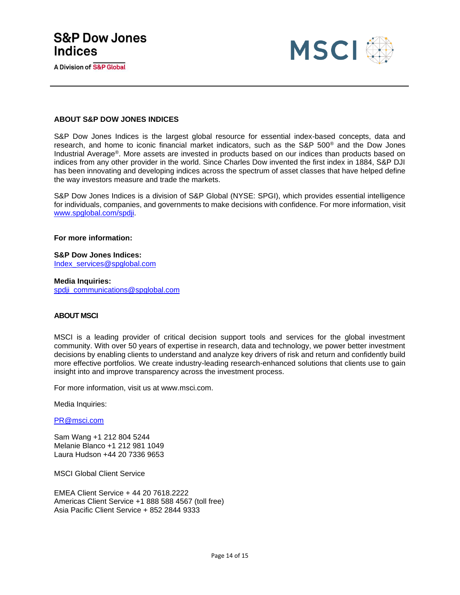A Division of S&P Global



#### **ABOUT S&P DOW JONES INDICES**

S&P Dow Jones Indices is the largest global resource for essential index-based concepts, data and research, and home to iconic financial market indicators, such as the S&P 500® and the Dow Jones Industrial Average®. More assets are invested in products based on our indices than products based on indices from any other provider in the world. Since Charles Dow invented the first index in 1884, S&P DJI has been innovating and developing indices across the spectrum of asset classes that have helped define the way investors measure and trade the markets.

S&P Dow Jones Indices is a division of S&P Global (NYSE: SPGI), which provides essential intelligence for individuals, companies, and governments to make decisions with confidence. For more information, visit [www.spglobal.com/spdji.](https://spgl.sharepoint.com/sites/IMPGGICSHub/Shared%20Documents/GICS%20Administration/2021%20GICS%20Consultation/Announcements%20&%20other%20notice%20drafts/www.spglobal.com/spdji)

**For more information:** 

**S&P Dow Jones Indices:** [Index\\_services@spglobal.com](mailto:Index_services@spglobal.com)

**Media Inquiries:** [spdji\\_communications@spglobal.com](mailto:spdji_communications@spglobal.com)

#### **ABOUT MSCI**

MSCI is a leading provider of critical decision support tools and services for the global investment community. With over 50 years of expertise in research, data and technology, we power better investment decisions by enabling clients to understand and analyze key drivers of risk and return and confidently build more effective portfolios. We create industry-leading research-enhanced solutions that clients use to gain insight into and improve transparency across the investment process.

For more information, visit us at www.msci.com.

Media Inquiries:

[PR@msci.com](mailto:PR@msci.com)

Sam Wang +1 212 804 5244 Melanie Blanco +1 212 981 1049 Laura Hudson +44 20 7336 9653

MSCI Global Client Service

EMEA Client Service + 44 20 7618.2222 Americas Client Service +1 888 588 4567 (toll free) Asia Pacific Client Service + 852 2844 9333